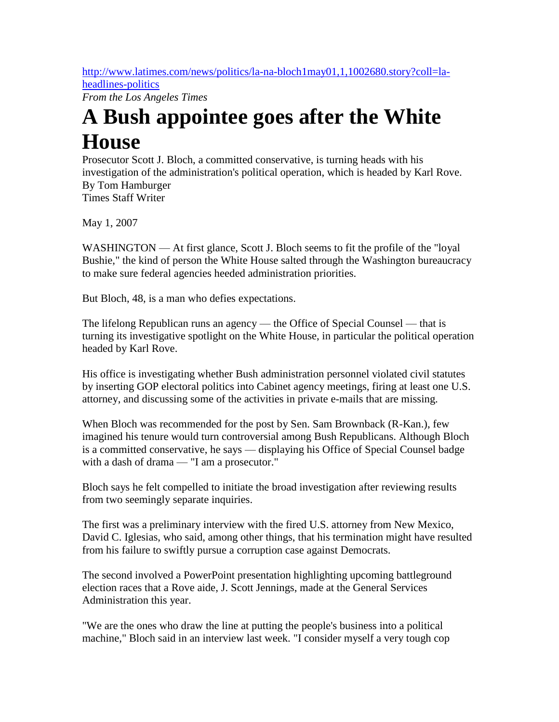[http://www.latimes.com/news/politics/la-na-bloch1may01,1,1002680.story?coll=la](http://www.latimes.com/news/politics/la-na-bloch1may01,1,1002680.story?coll=la-headlines-politics)[headlines-politics](http://www.latimes.com/news/politics/la-na-bloch1may01,1,1002680.story?coll=la-headlines-politics)

*From the Los Angeles Times*

## **A Bush appointee goes after the White House**

Prosecutor Scott J. Bloch, a committed conservative, is turning heads with his investigation of the administration's political operation, which is headed by Karl Rove. By Tom Hamburger Times Staff Writer

May 1, 2007

WASHINGTON — At first glance, Scott J. Bloch seems to fit the profile of the "loyal" Bushie," the kind of person the White House salted through the Washington bureaucracy to make sure federal agencies heeded administration priorities.

But Bloch, 48, is a man who defies expectations.

The lifelong Republican runs an agency — the Office of Special Counsel — that is turning its investigative spotlight on the White House, in particular the political operation headed by Karl Rove.

His office is investigating whether Bush administration personnel violated civil statutes by inserting GOP electoral politics into Cabinet agency meetings, firing at least one U.S. attorney, and discussing some of the activities in private e-mails that are missing.

When Bloch was recommended for the post by Sen. Sam Brownback (R-Kan.), few imagined his tenure would turn controversial among Bush Republicans. Although Bloch is a committed conservative, he says — displaying his Office of Special Counsel badge with a dash of drama — "I am a prosecutor."

Bloch says he felt compelled to initiate the broad investigation after reviewing results from two seemingly separate inquiries.

The first was a preliminary interview with the fired U.S. attorney from New Mexico, David C. Iglesias, who said, among other things, that his termination might have resulted from his failure to swiftly pursue a corruption case against Democrats.

The second involved a PowerPoint presentation highlighting upcoming battleground election races that a Rove aide, J. Scott Jennings, made at the General Services Administration this year.

"We are the ones who draw the line at putting the people's business into a political machine," Bloch said in an interview last week. "I consider myself a very tough cop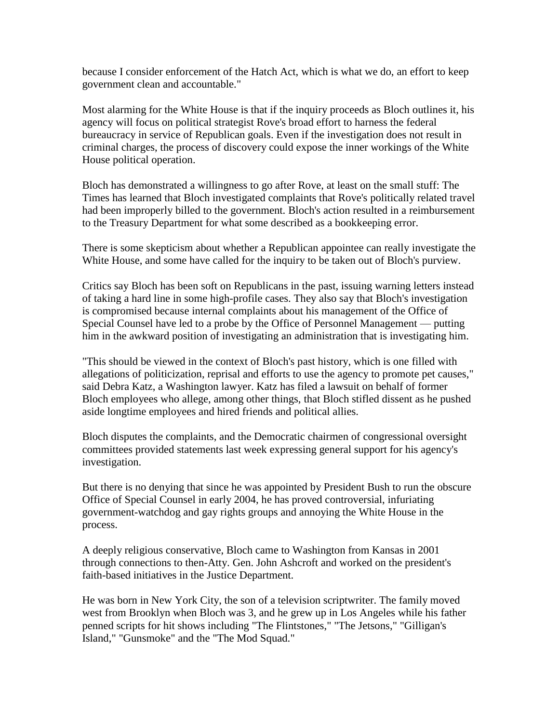because I consider enforcement of the Hatch Act, which is what we do, an effort to keep government clean and accountable."

Most alarming for the White House is that if the inquiry proceeds as Bloch outlines it, his agency will focus on political strategist Rove's broad effort to harness the federal bureaucracy in service of Republican goals. Even if the investigation does not result in criminal charges, the process of discovery could expose the inner workings of the White House political operation.

Bloch has demonstrated a willingness to go after Rove, at least on the small stuff: The Times has learned that Bloch investigated complaints that Rove's politically related travel had been improperly billed to the government. Bloch's action resulted in a reimbursement to the Treasury Department for what some described as a bookkeeping error.

There is some skepticism about whether a Republican appointee can really investigate the White House, and some have called for the inquiry to be taken out of Bloch's purview.

Critics say Bloch has been soft on Republicans in the past, issuing warning letters instead of taking a hard line in some high-profile cases. They also say that Bloch's investigation is compromised because internal complaints about his management of the Office of Special Counsel have led to a probe by the Office of Personnel Management — putting him in the awkward position of investigating an administration that is investigating him.

"This should be viewed in the context of Bloch's past history, which is one filled with allegations of politicization, reprisal and efforts to use the agency to promote pet causes," said Debra Katz, a Washington lawyer. Katz has filed a lawsuit on behalf of former Bloch employees who allege, among other things, that Bloch stifled dissent as he pushed aside longtime employees and hired friends and political allies.

Bloch disputes the complaints, and the Democratic chairmen of congressional oversight committees provided statements last week expressing general support for his agency's investigation.

But there is no denying that since he was appointed by President Bush to run the obscure Office of Special Counsel in early 2004, he has proved controversial, infuriating government-watchdog and gay rights groups and annoying the White House in the process.

A deeply religious conservative, Bloch came to Washington from Kansas in 2001 through connections to then-Atty. Gen. John Ashcroft and worked on the president's faith-based initiatives in the Justice Department.

He was born in New York City, the son of a television scriptwriter. The family moved west from Brooklyn when Bloch was 3, and he grew up in Los Angeles while his father penned scripts for hit shows including "The Flintstones," "The Jetsons," "Gilligan's Island," "Gunsmoke" and the "The Mod Squad."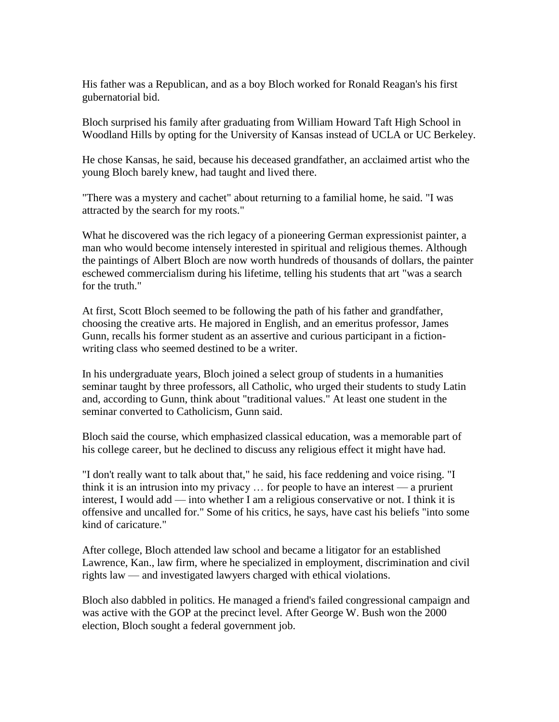His father was a Republican, and as a boy Bloch worked for Ronald Reagan's his first gubernatorial bid.

Bloch surprised his family after graduating from William Howard Taft High School in Woodland Hills by opting for the University of Kansas instead of UCLA or UC Berkeley.

He chose Kansas, he said, because his deceased grandfather, an acclaimed artist who the young Bloch barely knew, had taught and lived there.

"There was a mystery and cachet" about returning to a familial home, he said. "I was attracted by the search for my roots."

What he discovered was the rich legacy of a pioneering German expressionist painter, a man who would become intensely interested in spiritual and religious themes. Although the paintings of Albert Bloch are now worth hundreds of thousands of dollars, the painter eschewed commercialism during his lifetime, telling his students that art "was a search for the truth."

At first, Scott Bloch seemed to be following the path of his father and grandfather, choosing the creative arts. He majored in English, and an emeritus professor, James Gunn, recalls his former student as an assertive and curious participant in a fictionwriting class who seemed destined to be a writer.

In his undergraduate years, Bloch joined a select group of students in a humanities seminar taught by three professors, all Catholic, who urged their students to study Latin and, according to Gunn, think about "traditional values." At least one student in the seminar converted to Catholicism, Gunn said.

Bloch said the course, which emphasized classical education, was a memorable part of his college career, but he declined to discuss any religious effect it might have had.

"I don't really want to talk about that," he said, his face reddening and voice rising. "I think it is an intrusion into my privacy … for people to have an interest — a prurient interest, I would add — into whether I am a religious conservative or not. I think it is offensive and uncalled for." Some of his critics, he says, have cast his beliefs "into some kind of caricature."

After college, Bloch attended law school and became a litigator for an established Lawrence, Kan., law firm, where he specialized in employment, discrimination and civil rights law — and investigated lawyers charged with ethical violations.

Bloch also dabbled in politics. He managed a friend's failed congressional campaign and was active with the GOP at the precinct level. After George W. Bush won the 2000 election, Bloch sought a federal government job.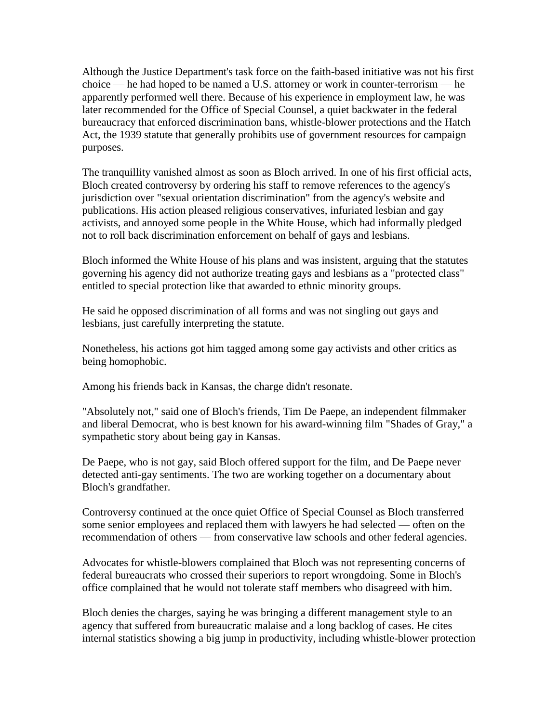Although the Justice Department's task force on the faith-based initiative was not his first choice — he had hoped to be named a U.S. attorney or work in counter-terrorism — he apparently performed well there. Because of his experience in employment law, he was later recommended for the Office of Special Counsel, a quiet backwater in the federal bureaucracy that enforced discrimination bans, whistle-blower protections and the Hatch Act, the 1939 statute that generally prohibits use of government resources for campaign purposes.

The tranquillity vanished almost as soon as Bloch arrived. In one of his first official acts, Bloch created controversy by ordering his staff to remove references to the agency's jurisdiction over "sexual orientation discrimination" from the agency's website and publications. His action pleased religious conservatives, infuriated lesbian and gay activists, and annoyed some people in the White House, which had informally pledged not to roll back discrimination enforcement on behalf of gays and lesbians.

Bloch informed the White House of his plans and was insistent, arguing that the statutes governing his agency did not authorize treating gays and lesbians as a "protected class" entitled to special protection like that awarded to ethnic minority groups.

He said he opposed discrimination of all forms and was not singling out gays and lesbians, just carefully interpreting the statute.

Nonetheless, his actions got him tagged among some gay activists and other critics as being homophobic.

Among his friends back in Kansas, the charge didn't resonate.

"Absolutely not," said one of Bloch's friends, Tim De Paepe, an independent filmmaker and liberal Democrat, who is best known for his award-winning film "Shades of Gray," a sympathetic story about being gay in Kansas.

De Paepe, who is not gay, said Bloch offered support for the film, and De Paepe never detected anti-gay sentiments. The two are working together on a documentary about Bloch's grandfather.

Controversy continued at the once quiet Office of Special Counsel as Bloch transferred some senior employees and replaced them with lawyers he had selected — often on the recommendation of others — from conservative law schools and other federal agencies.

Advocates for whistle-blowers complained that Bloch was not representing concerns of federal bureaucrats who crossed their superiors to report wrongdoing. Some in Bloch's office complained that he would not tolerate staff members who disagreed with him.

Bloch denies the charges, saying he was bringing a different management style to an agency that suffered from bureaucratic malaise and a long backlog of cases. He cites internal statistics showing a big jump in productivity, including whistle-blower protection